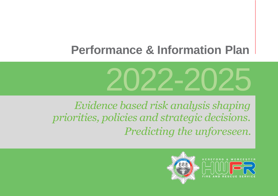# **Performance & Information Plan**



*Evidence based risk analysis shaping priorities, policies and strategic decisions. Predicting the unforeseen.*



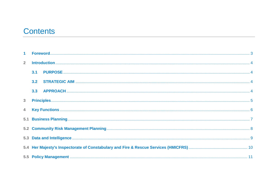## **Contents**

| $\overline{2}$ |     |  |  |  |
|----------------|-----|--|--|--|
|                | 3.1 |  |  |  |
|                | 3.2 |  |  |  |
|                | 3.3 |  |  |  |
| $\overline{3}$ |     |  |  |  |
| $\overline{4}$ |     |  |  |  |
|                |     |  |  |  |
|                |     |  |  |  |
|                |     |  |  |  |
|                |     |  |  |  |
|                |     |  |  |  |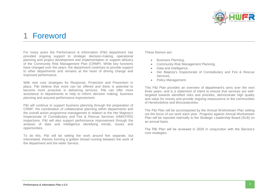

### <span id="page-2-0"></span>1 Foreword

For many years the Performance & Information (P&I) department has provided ongoing support to strategic decision-making, operational planning and project development and implementation to support delivery of the Community Risk Management Plan (CRMP). While key functions have changed over the years, the department continues to provide support to other departments and remains at the heart of driving change and improved performance.

With new core strategies for Response, Protection and Prevention in place, P&I believe that more can be offered and there is potential to become more proactive in delivering services. P&I can offer more assistance to departments to help to inform decision making, business planning and assured performance improvement.

P&I will continue to support business planning through the preparation of CRMP, the coordination of collaborative planning within departments and the overall action programme management in relation to the Her Majesty's Inspectorate of Constabulary and Fire & Rescue Services (HMICFRS) inspections. P&I will also support performance improvement through the analysis of data and intelligence identifying trends, issues and opportunities.

To do this, P&I will be setting the work around five separate, but interrelated, themes forming a golden thread running between the work of the department and the wider Service.

#### These themes are:

- Business Planning,
- Community Risk Management Planning,
- Data and Intelligence,
- Her Majesty's Inspectorate of Constabulary and Fire & Rescue Services,
- Policy Management.

This P&I Plan provides an overview of department's aims over the next three years, and is a statement of intent to ensure that services are welltargeted towards identified risks and priorities, demonstrate high quality and value for money and provide ongoing reassurance to the communities of Herefordshire and Worcestershire.

The P&I Plan will be accompanied by the Annual Workstream Plan setting out the focus of our work each year. Progress against Annual Workstream Plan will be reported internally to the Strategic Leadership Board (SLB) on an annual basis.

The P&I Plan will be reviewed in 2025 in conjunction with the Service's core strategies.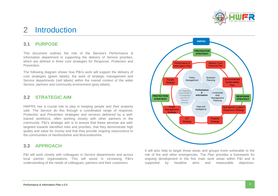

## <span id="page-3-0"></span>2 Introduction

#### <span id="page-3-1"></span>**3.1 PURPOSE**

This document outlines the role of the Service's Performance & Information department in supporting the delivery of Service priorities, which are defined in three core strategies for Response. Protection and Prevention.

The following diagram shows how P&I's work will support the delivery of core strategies (green labels), the work of strategic management and Service departments (red labels) within the overall context of the wider Service, partners and community environment (grey labels).

#### <span id="page-3-2"></span>**3.2 STRATEGIC AIM**

HWFRS has a crucial role to play in keeping people and their property safe. The Service do this through a coordinated range of response, Protection and Prevention strategies and services delivered by a welltrained workforce, often working closely with other partners in the community. P&I's strategic aim is to ensure that these services are welltargeted towards identified risks and priorities, that they demonstrate high quality and value for money and that they provide ongoing reassurance to the communities of Herefordshire and Worcestershire.

#### <span id="page-3-3"></span>**3.3 APPROACH**

P&I will work closely with colleagues in Service departments and across local partner organisations. This will assist in increasing P&I's understanding of the needs of colleagues, partners and their customers.



It will also help to target those areas and groups more vulnerable to the risk of fire and other emergencies. The Plan provides a framework for ongoing development in the five main work areas within P&I and is supported by headline aims and measurable objectives.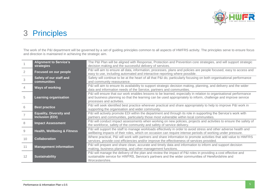

## <span id="page-4-0"></span>3 Principles

The work of the P&I department will be governed by a set of guiding principles common to all aspects of HWFRS activity. The principles serve to ensure focus and direction is maintained in achieving the strategic aim.

|                | <b>Alignment to Service's</b><br>strategies              | The P&I Plan will be aligned with Response, Protection and Prevention core strategies, and will support strategic<br>decision making and the successful delivery of services.                                                                                   |
|----------------|----------------------------------------------------------|-----------------------------------------------------------------------------------------------------------------------------------------------------------------------------------------------------------------------------------------------------------------|
| $\overline{2}$ | Focused on our people                                    | P&I will aim to ensure all data, information, processes, plans and policies are people focused, easy to access and<br>easy to use, including automated and interactive reporting where possible.                                                                |
| 3              | Safety of our staff and<br><b>communities</b>            | Safety will continue to be at the heart of all that P&I do, particularly focusing on both organisational performance<br>and community reassurance.                                                                                                              |
|                | <b>Ways of working</b>                                   | P&I will aim to ensure its availability to support strategic decision making, planning, and delivery and the wider<br>data and information needs of the Service, partners and communities.                                                                      |
| 5              | <b>Learning organisation</b>                             | P&I will ensure that our work enables lessons to be learned, especially in relation to organisational performance<br>and business planning so that the learning can be used appropriately to inform, challenge and improve service<br>processes and activities. |
| 6              | <b>Best practice</b>                                     | P&I will seek identified best practice wherever practical and share appropriately to help to improve P&I work in<br>supporting the organisation and wider community.                                                                                            |
|                | <b>Equality, Diversity and</b><br><b>Inclusion (EDI)</b> | P&I will actively promote EDI within the department and through its role in supporting the Service's work with<br>partners and communities, particularly those most vulnerable within local communities.                                                        |
| 8              | <b>Impact Assessment</b>                                 | P&I will conduct impact assessments when working on new policies, projects and activities to ensure the safety of<br>the workforce, safety of the community and safety of service delivery.                                                                     |
| 9              | <b>Health, Wellbeing &amp; Fitness</b>                   | P&I will support the staff to manage workloads effectively in order to avoid stress and other adverse health and<br>wellbeing impacts of their roles, which on occasion can require intense periods of working under pressure.                                  |
| 10             | <b>Collaboration</b>                                     | Where practical, P&I will work with partners and share information to promote activities that add value to HWFRS<br>services, provide cost efficiencies and/or improve the effectiveness of services provided.                                                  |
| 11             | <b>Management information</b>                            | P&I will prepare and share clean, accurate and timely data and information to inform and support decision<br>making, business planning, and other management functions.                                                                                         |
| 12             | <b>Sustainability</b>                                    | P&I will manage the delivery of the plan and review the impact of P&I roles in providing a cost effective and<br>sustainable service for HWFRS, Service's partners and the wider communities of Herefordshire and<br>Worcestershire.                            |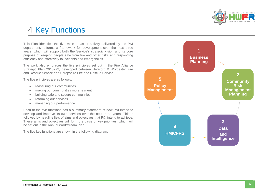

## <span id="page-5-0"></span>4 Key Functions

This Plan identifies the five main areas of activity delivered by the P&I department. It forms a framework for development over the next three years, which will support both the Service's strategic vision and its core purpose of keeping people safe from fire and other risks and responding efficiently and effectively to incidents and emergencies.

The work also embraces the five principles set out in the Fire Alliance Strategic Plan 2018–22, developed between Hereford & Worcester Fire and Rescue Service and Shropshire Fire and Rescue Service.

The five principles are as follows:

- reassuring our communities
- making our communities more resilient
- building safe and secure communities
- reforming our services
- managing our performance.

Each of the five functions has a summary statement of how P&I intend to develop and improve its own services over the next three years. This is followed by headline lists of aims and objectives that P&I intend to achieve. These aims and objectives will form the basis of key priorities, which will be set out in the Annual Workstream Plan.

The five key functions are shown in the following diagram.

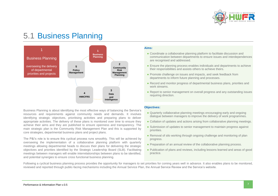

## <span id="page-6-0"></span>5.1 Business Planning



Business Planning is about identifying the most effective ways of balancing the Service's resources and requirements against community needs and demands. It involves identifying strategic objectives, prioritising activities and preparing plans to deliver appropriate activities. The delivery of these plans is monitored over time to ensure they achieve their aims and they are published to ensure openness and transparency. The main strategic plan is the Community Risk Management Plan and this is supported by core strategies, departmental business plans and project plans.

The P&I's role is to ensure this cyclical process runs smoothly. This will be achieved by overseeing the implementation of a collaborative planning platform with quarterly meetings allowing departmental heads to discuss their plans for delivering the strategic objectives and priorities identified by the Strategic Leadership Board (SLB). Facilitating meetings between managers will enable interrelationships between plans to be identified, and potential synergies to ensure cross functional business planning.

#### **Aims:**

- Coordinate a collaborative planning platform to facilitate discussion and communication between departments to ensure issues and interdependences are recognised and addressed.
- Ensure the planning process enables individuals and departments to achieve their responsibilities and assists others to achieve theirs.
- Promote challenge on issues and impacts, and seek feedback from departments to inform future planning and processes.
- Record and monitor progress of departmental business plans, priorities and work streams.
- Report to senior management on overall progress and any outstanding issues requiring direction.

#### **Objectives:**

- Quarterly collaborative planning meetings encouraging early and ongoing dialogue between managers to improve the delivery of work programmes.
- Collation of updates and actions arising from collaborative planning meetings.
- Submission of updates to senior management to maintain progress against priorities.
- Removal of silo working through ongoing challenge and monitoring of plan progress.
- Preparation of an annual review of the collaborative planning process.
- Publication of plans and reviews, including lessons learned and areas of good practice.

Following a cyclical business planning process provides the opportunity for managers to set priorities for coming years well in advance. It also enables plans to be monitored, reviewed and reported through public-facing mechanisms including the Annual Service Plan, the Annual Service Review and the Service's website.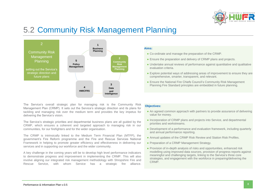

## <span id="page-7-0"></span>5.2 Community Risk Management Planning



The Service's overall strategic plan for managing risk is the Community Risk Management Plan (CRMP). It sets out the Service's strategic direction and its plans for tackling and managing risk over the medium term and provides the key impetus for delivering the Service's vision.

The Service's strategic priorities and departmental business plans are all guided by the CRMP, which ensures a coherent and targeted approach to managing risk in our communities, for our firefighters and for the wider organisation.

The CRMP is intrinsically linked to the Medium Term Financial Plan (MTFP), the government's Fire Reform programme and the Fire and Rescue Services National Framework in helping to promote greater efficiency and effectiveness in delivering our services and in supporting our workforce and the wider community.

A key challenge in the coming years will be to develop high level performance indicators to demonstrate progress and improvement in implementing the CRMP. This will also involve aligning our integrated risk management methodology with Shropshire Fire and Rescue Service, with whom Service has a strategic fire alliance.

#### **Aims:**

- Co-ordinate and manage the preparation of the CRMP.
- Ensure the preparation and delivery of CRMP plans and projects.
- Undertake annual reviews of performance against quantitative and qualitative evaluation criteria.
- Explore potential ways of addressing areas of improvement to ensure they are comprehensive, smarter, transparent, and relevant.
- Ensure the National Fire Chiefs Council's Community Risk Management Planning Fire Standard principles are embedded in future planning.

#### **Objectives:**

- An agreed common approach with partners to provide assurance of delivering value for money.
- Incorporation of CRMP plans and projects into Service, and departmental priorities and workstreams.
- Development of a performance and evaluation framework, including quarterly and annual performance reporting.
- Annual updates of the CRMP Risk Review and Station Risk Profiles.
- Preparation of a CRMP Management Strategy.
- Provision of in-depth analysis of risks and opportunities, enhanced risk modelling using improved data sources, provision of progress reports against meaningful and challenging targets, linking to the Service's three core strategies, and engagement with the workforce in preparing/delivering the CRMP.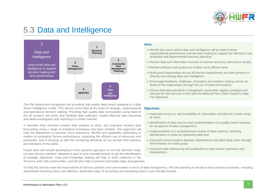

## <span id="page-8-0"></span>5.3 Data and Intelligence



The P&I department recognises that providing high quality data means adapting to a data driven intelligence model. This will put smart data at the heart of strategic, organisational and operational decision making. Providing high quality data necessitates using state of the art systems and tools, that facilitate data collection, enable effective data cleansing and allow investigation and reporting in a timely manner.

A transition from archived incident data analysis to short- and long-term incident data forecasting using a range of analytical techniques has been initiated. This approach will help the department to become more responsive, flexible and adaptable, particularly in relation to evaluating Service performance, assessing the efficient use of resources and processes, and in keeping up with the increasing demands on our service from partners and members of the public.

Future work will include developing a more dynamic approach to not only Service's data, but also Service partners' datasets to give a more rounded picture to aid the identification of strategic objectives. Data and knowledge sharing will help to build resilience in the Service's work with communities, and will also help to prevent potentially tragic emergencies.

#### **Aims:**

- Identify key areas where data and intelligence will be used to drive organisational performance and decision making to support the Service's core strategies and departmental business planning.
- Review data and information sources to improve accuracy and ensure quality.
- Review software and systems to enable more efficient work.
- Build good relationships across all Service departments and with partners in sharing and utilising data and intelligence.
- Encourage feedback, challenge, innovation and problem solving across all levels of the organisation through the use of data and analysis.
- Ensure that data provided is transparent, accessible, legally compliant and relevant for the end user in line with the National Fire Chiefs Council's Data Fire Standard.

#### **Objectives:**

- Improved access to, and availability of, information and data for a wide range of users.
- Identification of data sources and implementation of a quality control process for all aspects of data management.
- Implementation of a comprehensive review of data systems, including identification of areas for optimising data flow.
- Improved communication between departments and other data users through the formation of a data group.
- Improved data referencing and publication to help ensure openness and transparency.

To help the Service meet the expectations of Service partners and communities in terms of data transparency, P&I are planning to introduce best practice processes, including streamlined reporting using cost-effective, automated ways of accessing and visualising data in user-friendly formats.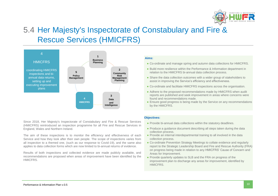

## <span id="page-9-0"></span>5.4 Her Majesty's Inspectorate of Constabulary and Fire & Rescue Services (HMICFRS)



Since 2018, Her Majesty's Inspectorate of Constabulary and Fire & Rescue Services (HMICFRS) reintroduced an inspection programme for all Fire and Rescue Services in England, Wales and Northern Ireland.

The aim of these inspections is to monitor the efficiency and effectiveness of each Service and how they look after their own people. The scope of inspections varies from all inspection to a themed one, (such as our response to Covid-19), and the same also applies to data collection forms which are now limited to bi-annual returns of evidence.

Results of both inspections and collected evidence are made publicly available, and recommendations are proposed when areas of improvement have been identified by the HMICFRS.

#### **Aims:**

- Co-ordinate and manage spring and autumn data collections for HMICFRS.
- Build more resilience within the Performance & Information department in relation to the HMICFRS bi-annual data collection process.
- Share the data collection outcomes with a wider group of stakeholders to assist in improving the Service's efficiency and effectiveness.
- Co-ordinate and facilitate HMICFRS inspections across the organisation.
- Adhere to the proposed recommendations made by HMICFRS when audit reports are published and seek improvement in areas where concerns were found and recommendations made.
- Ensure good progress is being made by the Service on any recommendations by the HMICFRS.

#### **Objectives:**

- Provide bi-annual data collections within the statutory deadlines.
- Produce a quidance document describing all steps taken during the data collection process.
- Provide an internal interdepartmental training to all involved in the data collection process.
- Co-ordinate Prevention Strategy Meetings to collate evidence and regularly report to the Strategic Leadership Board and Fire and Rescue Authority (FRA) on progress being made in relation to any HMICFRS' Cause of Concern and Areas for Improvement.
- Provide quarterly updates to SLB and the FRA on progress of the improvement plan to discharge any areas for improvement, identified by HMICFRS.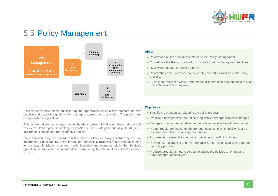

## <span id="page-10-0"></span>5.5 Policy Management



Policies are the documents published by the organisation which aim to promote the best practice and to provide guidance for managers across the organisation. The policy must comply with the legislation.

Policies are written by the departments' heads and when first drafted, they undergo a 3 week consultation process seeking feedback from the Strategic Leadership Board (SLB), departments' heads and representative bodies.

Once finalised, they are recorded in the Service's Policy Library governed by the P&I department. Subsequently, these polices are periodically reviewed and revised according to the latest legislation changes, newly identified improvements within the Service's operation or suggested recommendations made by the National Fire Chiefs Council (NFCC).

#### **Aims:**

- Review and revise procedures related to the Policy Management.
- Co-ordinate the Policy process for consultation within the agreed deadlines.
- Review and update the Policy Library.
- Review the communication channels between parties involved in the Policy process.
- Build more resilience within Performance & Information department in relation to the Service Policy process.

#### **Objectives:**

- Simplify the procedures related to the policy process.
- Propose a new template that reflects legislative and organisational changes.
- Manage correspondence related to the policies received in a timely manner.
- Prompt regular reminders to department heads as to which policy must be reviewed or archived in any specific quarter.
- Propose improvements to be made in relation to the Policy Library.
- Provide internal training to all Performance & Information staff with regard to the policy process.
- Produce a regular annual report summarising the policies amended and published throughout a year.